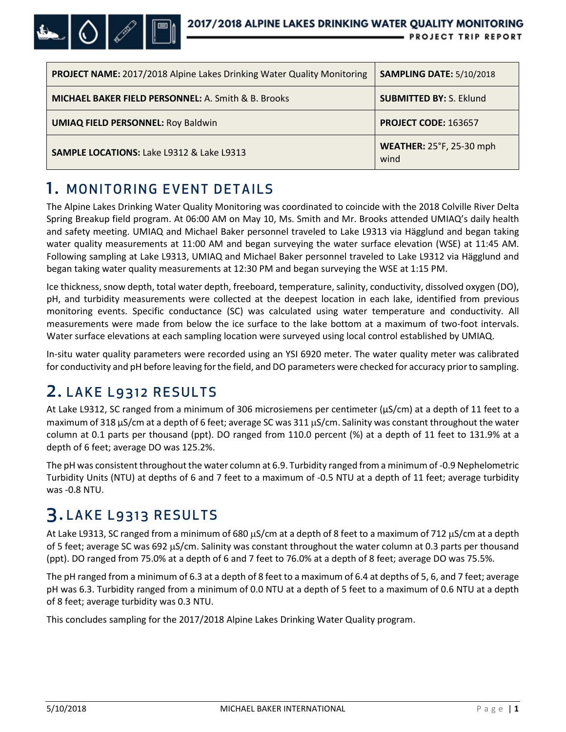

| <b>PROJECT NAME:</b> 2017/2018 Alpine Lakes Drinking Water Quality Monitoring | <b>SAMPLING DATE: 5/10/2018</b>         |
|-------------------------------------------------------------------------------|-----------------------------------------|
| <b>MICHAEL BAKER FIELD PERSONNEL: A. Smith &amp; B. Brooks</b>                | <b>SUBMITTED BY: S. Eklund</b>          |
| <b>UMIAQ FIELD PERSONNEL: Roy Baldwin</b>                                     | PROJECT CODE: 163657                    |
| <b>SAMPLE LOCATIONS: Lake L9312 &amp; Lake L9313</b>                          | <b>WEATHER: 25°F, 25-30 mph</b><br>wind |

## 1. MONITORING EVENT DETAILS

The Alpine Lakes Drinking Water Quality Monitoring was coordinated to coincide with the 2018 Colville River Delta Spring Breakup field program. At 06:00 AM on May 10, Ms. Smith and Mr. Brooks attended UMIAQ's daily health and safety meeting. UMIAQ and Michael Baker personnel traveled to Lake L9313 via Hägglund and began taking water quality measurements at 11:00 AM and began surveying the water surface elevation (WSE) at 11:45 AM. Following sampling at Lake L9313, UMIAQ and Michael Baker personnel traveled to Lake L9312 via Hägglund and began taking water quality measurements at 12:30 PM and began surveying the WSE at 1:15 PM.

Ice thickness, snow depth, total water depth, freeboard, temperature, salinity, conductivity, dissolved oxygen (DO), pH, and turbidity measurements were collected at the deepest location in each lake, identified from previous monitoring events. Specific conductance (SC) was calculated using water temperature and conductivity. All measurements were made from below the ice surface to the lake bottom at a maximum of two-foot intervals. Water surface elevations at each sampling location were surveyed using local control established by UMIAQ.

In-situ water quality parameters were recorded using an YSI 6920 meter. The water quality meter was calibrated for conductivity and pH before leaving for the field, and DO parameters were checked for accuracy prior to sampling.

## 2. LAKE L9312 RESULTS

At Lake L9312, SC ranged from a minimum of 306 microsiemens per centimeter (µS/cm) at a depth of 11 feet to a maximum of 318 µS/cm at a depth of 6 feet; average SC was 311 µS/cm. Salinity was constant throughout the water column at 0.1 parts per thousand (ppt). DO ranged from 110.0 percent (%) at a depth of 11 feet to 131.9% at a depth of 6 feet; average DO was 125.2%.

The pH was consistent throughout the water column at 6.9. Turbidity ranged from a minimum of -0.9 Nephelometric Turbidity Units (NTU) at depths of 6 and 7 feet to a maximum of -0.5 NTU at a depth of 11 feet; average turbidity was -0.8 NTU.

## 3. LAKE L9313 RESULTS

At Lake L9313, SC ranged from a minimum of 680 µS/cm at a depth of 8 feet to a maximum of 712 µS/cm at a depth of 5 feet; average SC was 692 µS/cm. Salinity was constant throughout the water column at 0.3 parts per thousand (ppt). DO ranged from 75.0% at a depth of 6 and 7 feet to 76.0% at a depth of 8 feet; average DO was 75.5%.

The pH ranged from a minimum of 6.3 at a depth of 8 feet to a maximum of 6.4 at depths of 5, 6, and 7 feet; average pH was 6.3. Turbidity ranged from a minimum of 0.0 NTU at a depth of 5 feet to a maximum of 0.6 NTU at a depth of 8 feet; average turbidity was 0.3 NTU.

This concludes sampling for the 2017/2018 Alpine Lakes Drinking Water Quality program.